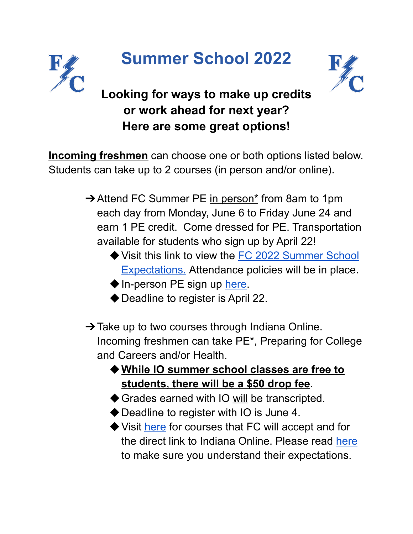

## **Summer School 2022**



## **Looking for ways to make up credits or work ahead for next year? Here are some great options!**

**Incoming freshmen** can choose one or both options listed below. Students can take up to 2 courses (in person and/or online).

- **→ Attend FC Summer PE in person\*** from 8am to 1pm each day from Monday, June 6 to Friday June 24 and earn 1 PE credit. Come dressed for PE. Transportation available for students who sign up by April 22!
	- ◆ Visit this link to view the FC 2022 [Summer](https://docs.google.com/document/d/1D00lAPOxfbGD9g4ZTZiGanKxGTS5W9Gb/) School [Expectations.](https://docs.google.com/document/d/1D00lAPOxfbGD9g4ZTZiGanKxGTS5W9Gb/) Attendance policies will be in place.
	- ◆ In-person PE sign up [here.](https://docs.google.com/forms/d/e/1FAIpQLSfibx6s38vf43lL051vzIsBTj9G1WOyP2s18PV5g4e9nSKXtw/viewform)
	- ◆ Deadline to register is April 22.
- $\rightarrow$  Take up to two courses through Indiana Online. Incoming freshmen can take PE\*, Preparing for College and Careers and/or Health.
	- ◆**While IO summer school classes are free to students, there will be a \$50 drop fee**.
	- ◆ Grades earned with IO will be transcripted.
	- ◆ Deadline to register with IO is June 4.
	- ◆ Visit [here](https://docs.google.com/document/d/1_YhcPwRyeuXPTJtyTP88aKT9RpX_kF2O3SQPs3pl7xU/edit) for courses that FC will accept and for the direct link to Indiana Online. Please read [here](https://indianaonline.org/summer-school/?_gl=1*19iea0s*_ga*MTEwNDA4MDE4OS4xNjQ2MDYyMzE2*_ga_Z5921V1P4N*MTY0NjA3Mzg5NC4zLjEuMTY0NjA3MzkwMC4w&_ga=2.171220771.2010304078.1646062316-1104080189.1646062316) to make sure you understand their expectations.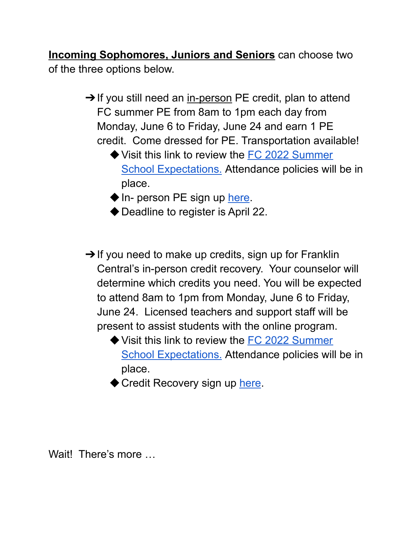**Incoming Sophomores, Juniors and Seniors** can choose two of the three options below.

- **→ If you still need an in-person PE credit, plan to attend** FC summer PE from 8am to 1pm each day from Monday, June 6 to Friday, June 24 and earn 1 PE credit. Come dressed for PE. Transportation available!
	- ◆ Visit this link to review the FC 2022 [Summer](https://docs.google.com/document/d/1D00lAPOxfbGD9g4ZTZiGanKxGTS5W9Gb/) School [Expectations.](https://docs.google.com/document/d/1D00lAPOxfbGD9g4ZTZiGanKxGTS5W9Gb/) Attendance policies will be in place.
	- ◆ In- person PE sign up [here](https://docs.google.com/forms/d/e/1FAIpQLSfibx6s38vf43lL051vzIsBTj9G1WOyP2s18PV5g4e9nSKXtw/viewform?usp=sf_link).
	- ◆ Deadline to register is April 22.
- $\rightarrow$  If you need to make up credits, sign up for Franklin Central's in-person credit recovery. Your counselor will determine which credits you need. You will be expected to attend 8am to 1pm from Monday, June 6 to Friday, June 24. Licensed teachers and support staff will be present to assist students with the online program.
	- ◆ Visit this link to review the FC 2022 [Summer](https://docs.google.com/document/d/1D00lAPOxfbGD9g4ZTZiGanKxGTS5W9Gb/) School [Expectations.](https://docs.google.com/document/d/1D00lAPOxfbGD9g4ZTZiGanKxGTS5W9Gb/) Attendance policies will be in place.
	- ◆ Credit Recovery sign up [here](https://docs.google.com/forms/d/e/1FAIpQLSczP8lQRHhXvABTi_gbm9sayu0HbfTvZqe8esbTwIlXOIKVWQ/viewform).

Wait! There's more …